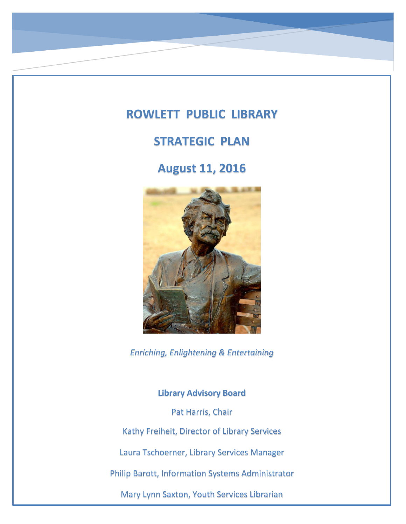# **ROWLETT PUBLIC LIBRARY**

## **STRATEGIC PLAN**

**August 11, 2016**



*Enriching, Enlightening & Entertaining*

**Library Advisory Board**

Pat Harris, Chair

Kathy Freiheit, Director of Library Services

Laura Tschoerner, Library Services Manager

Philip Barott, Information Systems Administrator

Mary Lynn Saxton, Youth Services Librarian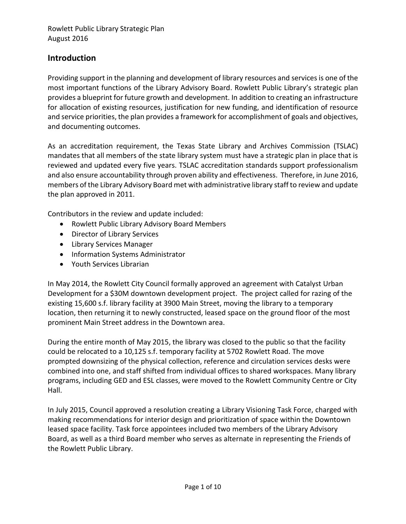#### **Introduction**

Providing support in the planning and development of library resources and services is one of the most important functions of the Library Advisory Board. Rowlett Public Library's strategic plan provides a blueprint for future growth and development. In addition to creating an infrastructure for allocation of existing resources, justification for new funding, and identification of resource and service priorities, the plan provides a framework for accomplishment of goals and objectives, and documenting outcomes.

As an accreditation requirement, the Texas State Library and Archives Commission (TSLAC) mandates that all members of the state library system must have a strategic plan in place that is reviewed and updated every five years. TSLAC accreditation standards support professionalism and also ensure accountability through proven ability and effectiveness. Therefore, in June 2016, members of the Library Advisory Board met with administrative library staff to review and update the plan approved in 2011.

Contributors in the review and update included:

- Rowlett Public Library Advisory Board Members
- Director of Library Services
- Library Services Manager
- Information Systems Administrator
- Youth Services Librarian

In May 2014, the Rowlett City Council formally approved an agreement with Catalyst Urban Development for a \$30M downtown development project. The project called for razing of the existing 15,600 s.f. library facility at 3900 Main Street, moving the library to a temporary location, then returning it to newly constructed, leased space on the ground floor of the most prominent Main Street address in the Downtown area.

During the entire month of May 2015, the library was closed to the public so that the facility could be relocated to a 10,125 s.f. temporary facility at 5702 Rowlett Road. The move prompted downsizing of the physical collection, reference and circulation services desks were combined into one, and staff shifted from individual offices to shared workspaces. Many library programs, including GED and ESL classes, were moved to the Rowlett Community Centre or City Hall.

In July 2015, Council approved a resolution creating a Library Visioning Task Force, charged with making recommendations for interior design and prioritization of space within the Downtown leased space facility. Task force appointees included two members of the Library Advisory Board, as well as a third Board member who serves as alternate in representing the Friends of the Rowlett Public Library.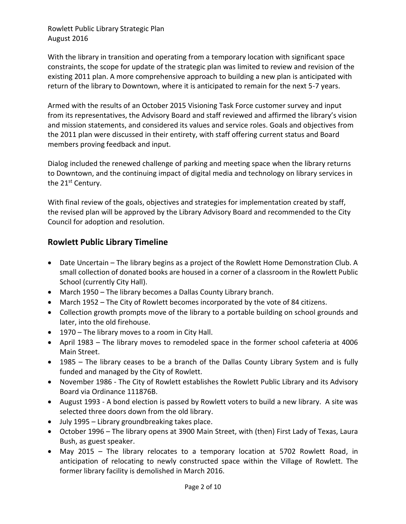With the library in transition and operating from a temporary location with significant space constraints, the scope for update of the strategic plan was limited to review and revision of the existing 2011 plan. A more comprehensive approach to building a new plan is anticipated with return of the library to Downtown, where it is anticipated to remain for the next 5-7 years.

Armed with the results of an October 2015 Visioning Task Force customer survey and input from its representatives, the Advisory Board and staff reviewed and affirmed the library's vision and mission statements, and considered its values and service roles. Goals and objectives from the 2011 plan were discussed in their entirety, with staff offering current status and Board members proving feedback and input.

Dialog included the renewed challenge of parking and meeting space when the library returns to Downtown, and the continuing impact of digital media and technology on library services in the 21<sup>st</sup> Century.

With final review of the goals, objectives and strategies for implementation created by staff, the revised plan will be approved by the Library Advisory Board and recommended to the City Council for adoption and resolution.

## **Rowlett Public Library Timeline**

- Date Uncertain The library begins as a project of the Rowlett Home Demonstration Club. A small collection of donated books are housed in a corner of a classroom in the Rowlett Public School (currently City Hall).
- March 1950 The library becomes a Dallas County Library branch.
- March 1952 The City of Rowlett becomes incorporated by the vote of 84 citizens.
- Collection growth prompts move of the library to a portable building on school grounds and later, into the old firehouse.
- 1970 The library moves to a room in City Hall.
- April 1983 The library moves to remodeled space in the former school cafeteria at 4006 Main Street.
- 1985 The library ceases to be a branch of the Dallas County Library System and is fully funded and managed by the City of Rowlett.
- November 1986 The City of Rowlett establishes the Rowlett Public Library and its Advisory Board via Ordinance 111876B.
- August 1993 A bond election is passed by Rowlett voters to build a new library. A site was selected three doors down from the old library.
- July 1995 Library groundbreaking takes place.
- October 1996 The library opens at 3900 Main Street, with (then) First Lady of Texas, Laura Bush, as guest speaker.
- May 2015 The library relocates to a temporary location at 5702 Rowlett Road, in anticipation of relocating to newly constructed space within the Village of Rowlett. The former library facility is demolished in March 2016.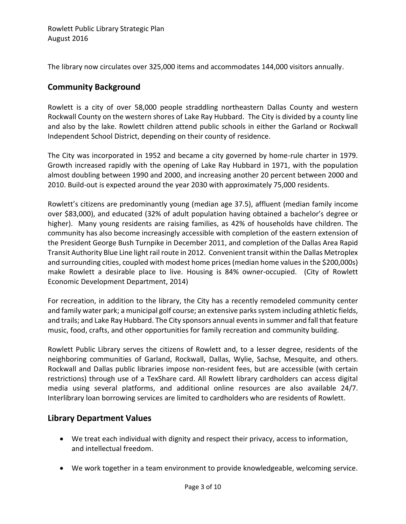The library now circulates over 325,000 items and accommodates 144,000 visitors annually.

## **Community Background**

Rowlett is a city of over 58,000 people straddling northeastern Dallas County and western Rockwall County on the western shores of Lake Ray Hubbard. The City is divided by a county line and also by the lake. Rowlett children attend public schools in either the Garland or Rockwall Independent School District, depending on their county of residence.

The City was incorporated in 1952 and became a city governed by home-rule charter in 1979. Growth increased rapidly with the opening of Lake Ray Hubbard in 1971, with the population almost doubling between 1990 and 2000, and increasing another 20 percent between 2000 and 2010. Build-out is expected around the year 2030 with approximately 75,000 residents.

Rowlett's citizens are predominantly young (median age 37.5), affluent (median family income over \$83,000), and educated (32% of adult population having obtained a bachelor's degree or higher). Many young residents are raising families, as 42% of households have children. The community has also become increasingly accessible with completion of the eastern extension of the President George Bush Turnpike in December 2011, and completion of the Dallas Area Rapid Transit Authority Blue Line light rail route in 2012. Convenient transit within the Dallas Metroplex and surrounding cities, coupled with modest home prices (median home values in the \$200,000s) make Rowlett a desirable place to live. Housing is 84% owner-occupied. (City of Rowlett Economic Development Department, 2014)

For recreation, in addition to the library, the City has a recently remodeled community center and family water park; a municipal golf course; an extensive parks system including athletic fields, and trails; and Lake Ray Hubbard. The City sponsors annual eventsin summer and fall that feature music, food, crafts, and other opportunities for family recreation and community building.

Rowlett Public Library serves the citizens of Rowlett and, to a lesser degree, residents of the neighboring communities of Garland, Rockwall, Dallas, Wylie, Sachse, Mesquite, and others. Rockwall and Dallas public libraries impose non-resident fees, but are accessible (with certain restrictions) through use of a TexShare card. All Rowlett library cardholders can access digital media using several platforms, and additional online resources are also available 24/7. Interlibrary loan borrowing services are limited to cardholders who are residents of Rowlett.

## **Library Department Values**

- We treat each individual with dignity and respect their privacy, access to information, and intellectual freedom.
- We work together in a team environment to provide knowledgeable, welcoming service.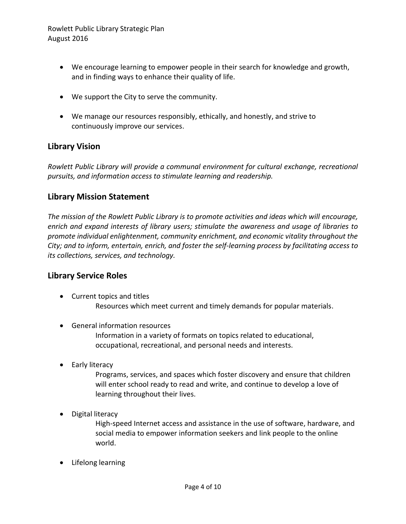- We encourage learning to empower people in their search for knowledge and growth, and in finding ways to enhance their quality of life.
- We support the City to serve the community.
- We manage our resources responsibly, ethically, and honestly, and strive to continuously improve our services.

#### **Library Vision**

*Rowlett Public Library will provide a communal environment for cultural exchange, recreational pursuits, and information access to stimulate learning and readership.* 

#### **Library Mission Statement**

*The mission of the Rowlett Public Library is to promote activities and ideas which will encourage, enrich and expand interests of library users; stimulate the awareness and usage of libraries to promote individual enlightenment, community enrichment, and economic vitality throughout the City; and to inform, entertain, enrich, and foster the self-learning process by facilitating access to its collections, services, and technology.* 

#### **Library Service Roles**

- Current topics and titles Resources which meet current and timely demands for popular materials.
- General information resources

Information in a variety of formats on topics related to educational, occupational, recreational, and personal needs and interests.

• Early literacy

Programs, services, and spaces which foster discovery and ensure that children will enter school ready to read and write, and continue to develop a love of learning throughout their lives.

• Digital literacy

High-speed Internet access and assistance in the use of software, hardware, and social media to empower information seekers and link people to the online world.

• Lifelong learning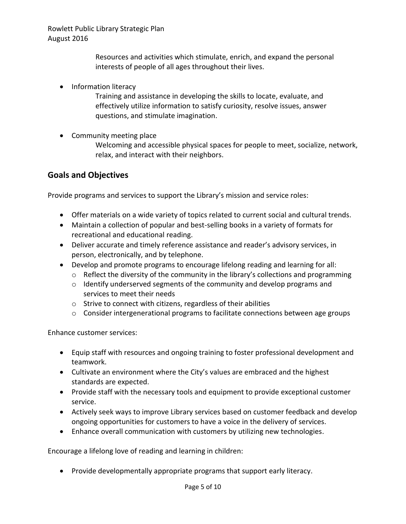Resources and activities which stimulate, enrich, and expand the personal interests of people of all ages throughout their lives.

• Information literacy

Training and assistance in developing the skills to locate, evaluate, and effectively utilize information to satisfy curiosity, resolve issues, answer questions, and stimulate imagination.

• Community meeting place

Welcoming and accessible physical spaces for people to meet, socialize, network, relax, and interact with their neighbors.

#### **Goals and Objectives**

Provide programs and services to support the Library's mission and service roles:

- Offer materials on a wide variety of topics related to current social and cultural trends.
- Maintain a collection of popular and best-selling books in a variety of formats for recreational and educational reading.
- Deliver accurate and timely reference assistance and reader's advisory services, in person, electronically, and by telephone.
- Develop and promote programs to encourage lifelong reading and learning for all:
	- o Reflect the diversity of the community in the library's collections and programming
	- o Identify underserved segments of the community and develop programs and services to meet their needs
	- o Strive to connect with citizens, regardless of their abilities
	- o Consider intergenerational programs to facilitate connections between age groups

Enhance customer services:

- Equip staff with resources and ongoing training to foster professional development and teamwork.
- Cultivate an environment where the City's values are embraced and the highest standards are expected.
- Provide staff with the necessary tools and equipment to provide exceptional customer service.
- Actively seek ways to improve Library services based on customer feedback and develop ongoing opportunities for customers to have a voice in the delivery of services.
- Enhance overall communication with customers by utilizing new technologies.

Encourage a lifelong love of reading and learning in children:

Provide developmentally appropriate programs that support early literacy.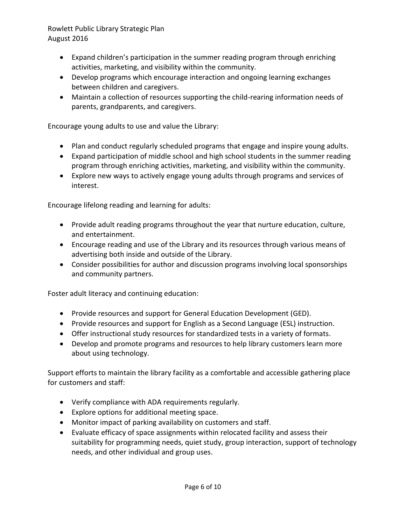- Expand children's participation in the summer reading program through enriching activities, marketing, and visibility within the community.
- Develop programs which encourage interaction and ongoing learning exchanges between children and caregivers.
- Maintain a collection of resources supporting the child-rearing information needs of parents, grandparents, and caregivers.

Encourage young adults to use and value the Library:

- Plan and conduct regularly scheduled programs that engage and inspire young adults.
- Expand participation of middle school and high school students in the summer reading program through enriching activities, marketing, and visibility within the community.
- Explore new ways to actively engage young adults through programs and services of interest.

Encourage lifelong reading and learning for adults:

- Provide adult reading programs throughout the year that nurture education, culture, and entertainment.
- Encourage reading and use of the Library and its resources through various means of advertising both inside and outside of the Library.
- Consider possibilities for author and discussion programs involving local sponsorships and community partners.

Foster adult literacy and continuing education:

- Provide resources and support for General Education Development (GED).
- Provide resources and support for English as a Second Language (ESL) instruction.
- Offer instructional study resources for standardized tests in a variety of formats.
- Develop and promote programs and resources to help library customers learn more about using technology.

Support efforts to maintain the library facility as a comfortable and accessible gathering place for customers and staff:

- Verify compliance with ADA requirements regularly.
- Explore options for additional meeting space.
- Monitor impact of parking availability on customers and staff.
- Evaluate efficacy of space assignments within relocated facility and assess their suitability for programming needs, quiet study, group interaction, support of technology needs, and other individual and group uses.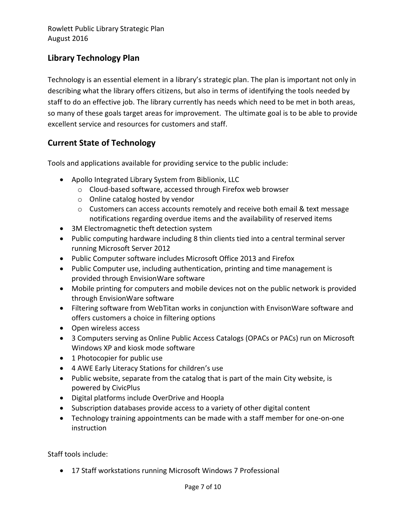## **Library Technology Plan**

Technology is an essential element in a library's strategic plan. The plan is important not only in describing what the library offers citizens, but also in terms of identifying the tools needed by staff to do an effective job. The library currently has needs which need to be met in both areas, so many of these goals target areas for improvement. The ultimate goal is to be able to provide excellent service and resources for customers and staff.

## **Current State of Technology**

Tools and applications available for providing service to the public include:

- Apollo Integrated Library System from Biblionix, LLC
	- o Cloud-based software, accessed through Firefox web browser
	- o Online catalog hosted by vendor
	- $\circ$  Customers can access accounts remotely and receive both email & text message notifications regarding overdue items and the availability of reserved items
- 3M Electromagnetic theft detection system
- Public computing hardware including 8 thin clients tied into a central terminal server running Microsoft Server 2012
- Public Computer software includes Microsoft Office 2013 and Firefox
- Public Computer use, including authentication, printing and time management is provided through EnvisionWare software
- Mobile printing for computers and mobile devices not on the public network is provided through EnvisionWare software
- Filtering software from WebTitan works in conjunction with EnvisonWare software and offers customers a choice in filtering options
- Open wireless access
- 3 Computers serving as Online Public Access Catalogs (OPACs or PACs) run on Microsoft Windows XP and kiosk mode software
- 1 Photocopier for public use
- 4 AWE Early Literacy Stations for children's use
- Public website, separate from the catalog that is part of the main City website, is powered by CivicPlus
- Digital platforms include OverDrive and Hoopla
- Subscription databases provide access to a variety of other digital content
- Technology training appointments can be made with a staff member for one-on-one instruction

Staff tools include:

17 Staff workstations running Microsoft Windows 7 Professional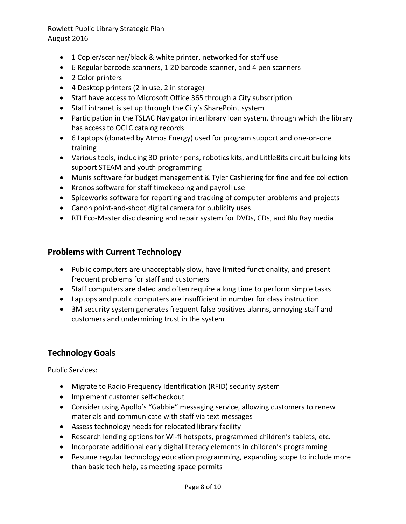- 1 Copier/scanner/black & white printer, networked for staff use
- 6 Regular barcode scanners, 1 2D barcode scanner, and 4 pen scanners
- 2 Color printers
- 4 Desktop printers (2 in use, 2 in storage)
- Staff have access to Microsoft Office 365 through a City subscription
- Staff intranet is set up through the City's SharePoint system
- Participation in the TSLAC Navigator interlibrary loan system, through which the library has access to OCLC catalog records
- 6 Laptops (donated by Atmos Energy) used for program support and one-on-one training
- Various tools, including 3D printer pens, robotics kits, and LittleBits circuit building kits support STEAM and youth programming
- Munis software for budget management & Tyler Cashiering for fine and fee collection
- Kronos software for staff timekeeping and payroll use
- Spiceworks software for reporting and tracking of computer problems and projects
- Canon point-and-shoot digital camera for publicity uses
- RTI Eco-Master disc cleaning and repair system for DVDs, CDs, and Blu Ray media

## **Problems with Current Technology**

- Public computers are unacceptably slow, have limited functionality, and present frequent problems for staff and customers
- Staff computers are dated and often require a long time to perform simple tasks
- Laptops and public computers are insufficient in number for class instruction
- 3M security system generates frequent false positives alarms, annoying staff and customers and undermining trust in the system

## **Technology Goals**

Public Services:

- Migrate to Radio Frequency Identification (RFID) security system
- Implement customer self-checkout
- Consider using Apollo's "Gabbie" messaging service, allowing customers to renew materials and communicate with staff via text messages
- Assess technology needs for relocated library facility
- Research lending options for Wi-fi hotspots, programmed children's tablets, etc.
- Incorporate additional early digital literacy elements in children's programming
- Resume regular technology education programming, expanding scope to include more than basic tech help, as meeting space permits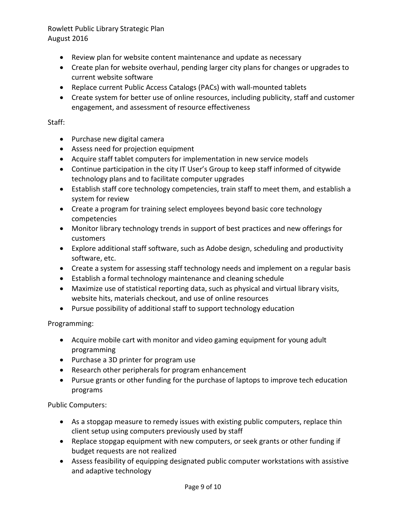- Review plan for website content maintenance and update as necessary
- Create plan for website overhaul, pending larger city plans for changes or upgrades to current website software
- Replace current Public Access Catalogs (PACs) with wall-mounted tablets
- Create system for better use of online resources, including publicity, staff and customer engagement, and assessment of resource effectiveness

#### Staff:

- Purchase new digital camera
- Assess need for projection equipment
- Acquire staff tablet computers for implementation in new service models
- Continue participation in the city IT User's Group to keep staff informed of citywide technology plans and to facilitate computer upgrades
- Establish staff core technology competencies, train staff to meet them, and establish a system for review
- Create a program for training select employees beyond basic core technology competencies
- Monitor library technology trends in support of best practices and new offerings for customers
- Explore additional staff software, such as Adobe design, scheduling and productivity software, etc.
- Create a system for assessing staff technology needs and implement on a regular basis
- Establish a formal technology maintenance and cleaning schedule
- Maximize use of statistical reporting data, such as physical and virtual library visits, website hits, materials checkout, and use of online resources
- Pursue possibility of additional staff to support technology education

Programming:

- Acquire mobile cart with monitor and video gaming equipment for young adult programming
- Purchase a 3D printer for program use
- Research other peripherals for program enhancement
- Pursue grants or other funding for the purchase of laptops to improve tech education programs

Public Computers:

- As a stopgap measure to remedy issues with existing public computers, replace thin client setup using computers previously used by staff
- Replace stopgap equipment with new computers, or seek grants or other funding if budget requests are not realized
- Assess feasibility of equipping designated public computer workstations with assistive and adaptive technology